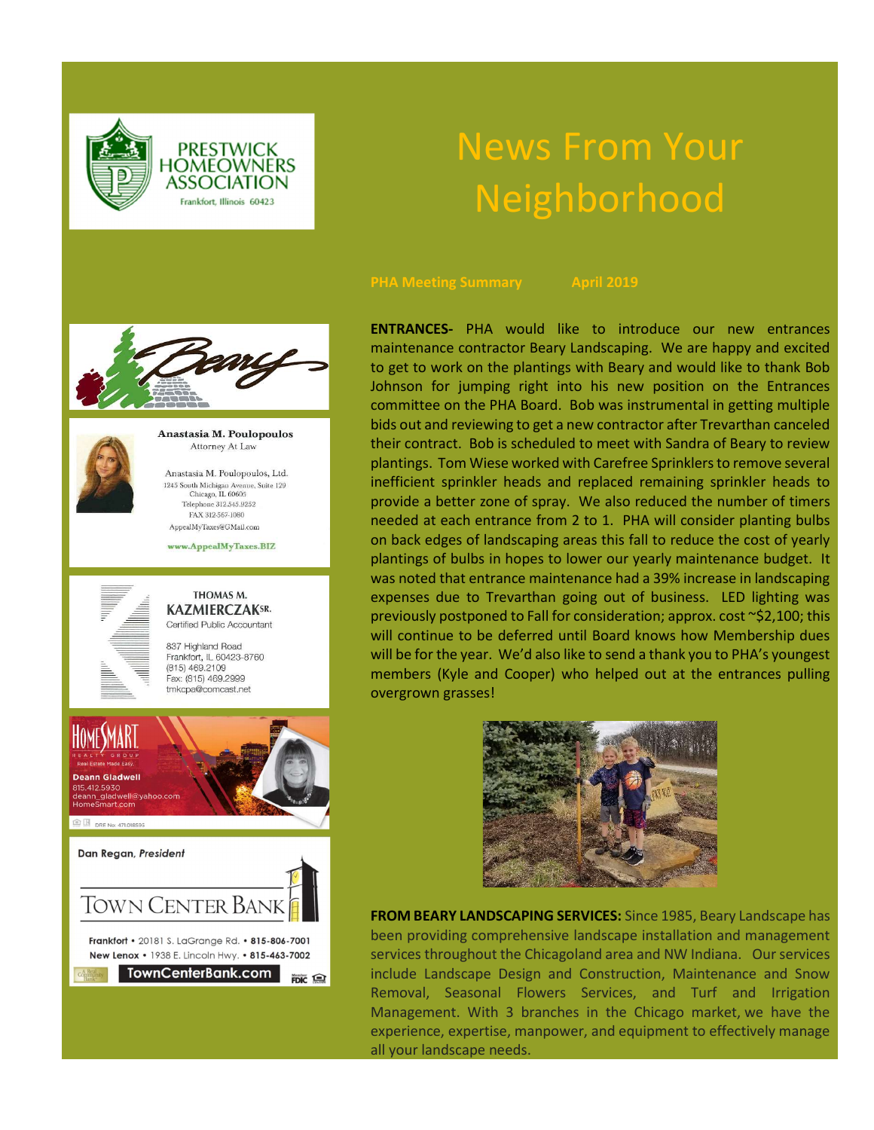**PRESTWICK HOMEOWNERS** ASSOCIATION Frankfort, Illinois 60423

# News From Your Neighborhood





Anastasia M. Poulopoulos Attorney At Law

Anastasia M. Poulopoulos, Ltd.  $\begin{array}{c} \textbf{1245 South Michigan Avenue, Suite 129}\\ \textbf{Chicago, IL 60605} \end{array}$ Telephone 312.545.9252 FAX 312-567-1080 AppealMyTaxes@GMail.com

www.AppealMyTaxes.BIZ



# THOMAS M. **KAZMIERCZAKSR.** Certified Public Accountant

837 Highland Road Frankfort, IL 60423-8760  $(815)$  469.2109 Fax: (815) 469.2999 tmkcpa@comcast.net



TownCenterBank.com FDIC Q ENTRANCES- PHA would like to introduce our new entrances maintenance contractor Beary Landscaping. We are happy and excited to get to work on the plantings with Beary and would like to thank Bob Johnson for jumping right into his new position on the Entrances committee on the PHA Board. Bob was instrumental in getting multiple bids out and reviewing to get a new contractor after Trevarthan canceled their contract. Bob is scheduled to meet with Sandra of Beary to review plantings. Tom Wiese worked with Carefree Sprinklers to remove several inefficient sprinkler heads and replaced remaining sprinkler heads to provide a better zone of spray. We also reduced the number of timers needed at each entrance from 2 to 1. PHA will consider planting bulbs on back edges of landscaping areas this fall to reduce the cost of yearly plantings of bulbs in hopes to lower our yearly maintenance budget. It was noted that entrance maintenance had a 39% increase in landscaping expenses due to Trevarthan going out of business. LED lighting was previously postponed to Fall for consideration; approx. cost ~\$2,100; this will continue to be deferred until Board knows how Membership dues will be for the year. We'd also like to send a thank you to PHA's youngest members (Kyle and Cooper) who helped out at the entrances pulling overgrown grasses!



FROM BEARY LANDSCAPING SERVICES: Since 1985, Beary Landscape has been providing comprehensive landscape installation and management services throughout the Chicagoland area and NW Indiana. Our services include Landscape Design and Construction, Maintenance and Snow Removal, Seasonal Flowers Services, and Turf and Irrigation Management. With 3 branches in the Chicago market, we have the experience, expertise, manpower, and equipment to effectively manage all your landscape needs.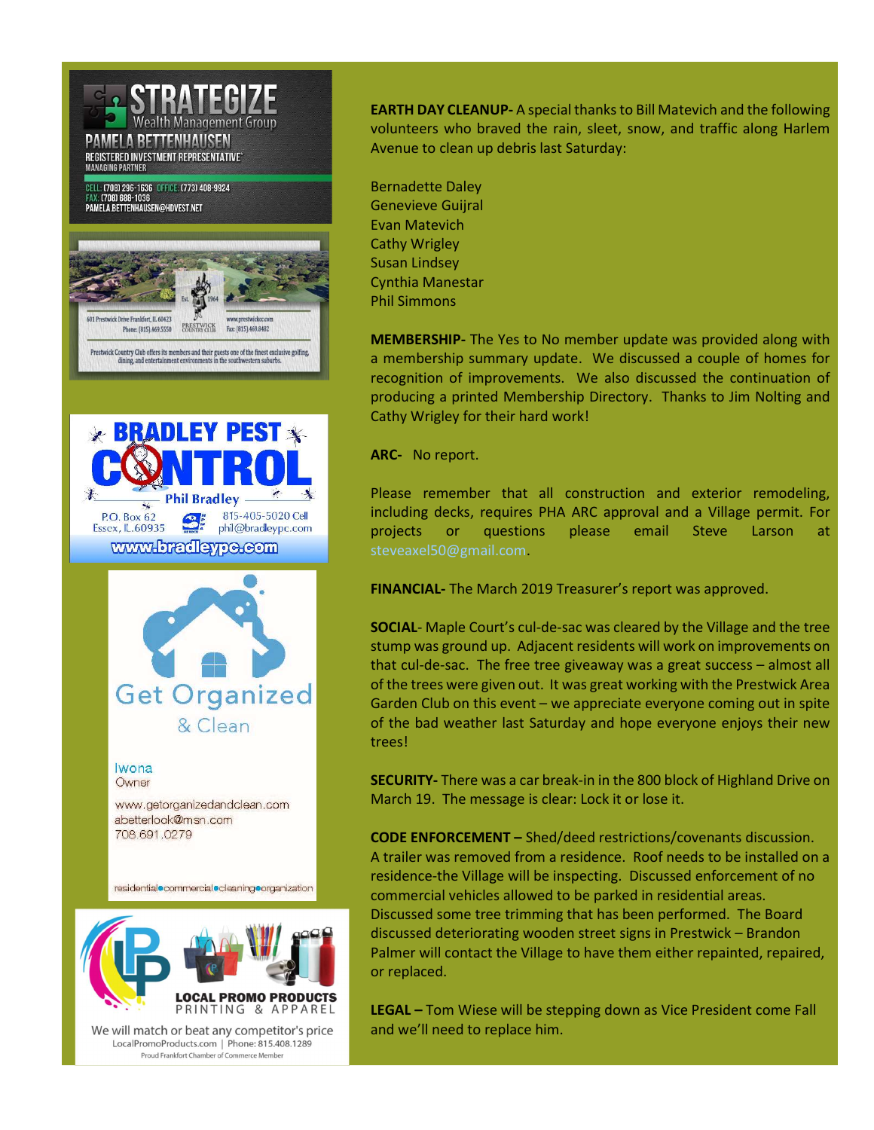

EARTH DAY CLEANUP- A special thanks to Bill Matevich and the following volunteers who braved the rain, sleet, snow, and traffic along Harlem Avenue to clean up debris last Saturday:

Bernadette Daley Genevieve Guijral Evan Matevich Cathy Wrigley Susan Lindsey Cynthia Manestar Phil Simmons

MEMBERSHIP- The Yes to No member update was provided along with a membership summary update. We discussed a couple of homes for recognition of improvements. We also discussed the continuation of producing a printed Membership Directory. Thanks to Jim Nolting and Cathy Wrigley for their hard work!

ARC- No report.

Please remember that all construction and exterior remodeling, including decks, requires PHA ARC approval and a Village permit. For projects or questions please email Steve Larson at steveaxel50@gmail.com.

FINANCIAL- The March 2019 Treasurer's report was approved.

SOCIAL- Maple Court's cul-de-sac was cleared by the Village and the tree stump was ground up. Adjacent residents will work on improvements on that cul-de-sac. The free tree giveaway was a great success – almost all of the trees were given out. It was great working with the Prestwick Area Garden Club on this event – we appreciate everyone coming out in spite of the bad weather last Saturday and hope everyone enjoys their new trees!

SECURITY- There was a car break-in in the 800 block of Highland Drive on March 19. The message is clear: Lock it or lose it.

CODE ENFORCEMENT – Shed/deed restrictions/covenants discussion. A trailer was removed from a residence. Roof needs to be installed on a residence-the Village will be inspecting. Discussed enforcement of no commercial vehicles allowed to be parked in residential areas. Discussed some tree trimming that has been performed. The Board discussed deteriorating wooden street signs in Prestwick – Brandon Palmer will contact the Village to have them either repainted, repaired, or replaced.

LEGAL – Tom Wiese will be stepping down as Vice President come Fall and we'll need to replace him.